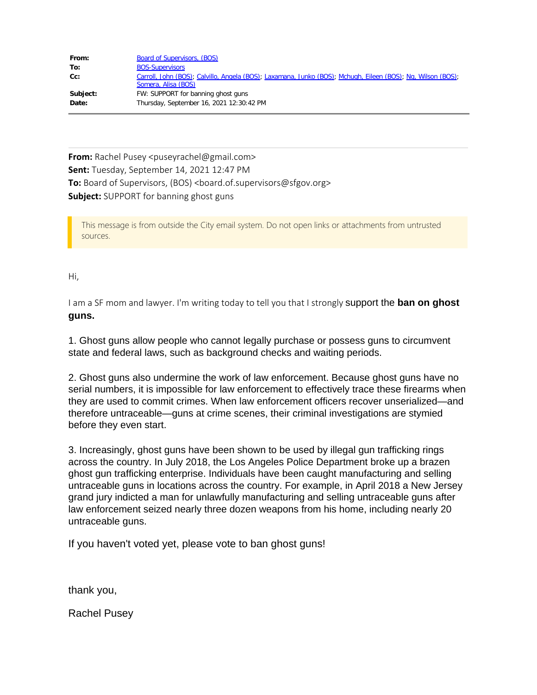| From:    | <b>Board of Supervisors, (BOS)</b>                                                                                                 |
|----------|------------------------------------------------------------------------------------------------------------------------------------|
| To:      | <b>BOS-Supervisors</b>                                                                                                             |
| Cc:      | Carroll, John (BOS); Calvillo, Angela (BOS); Laxamana, Junko (BOS); Mchugh, Eileen (BOS); Ng, Wilson (BOS);<br>Somera, Alisa (BOS) |
| Subject: | FW: SUPPORT for banning ghost guns                                                                                                 |
| Date:    | Thursday, September 16, 2021 12:30:42 PM                                                                                           |

**From:** Rachel Pusey <puseyrachel@gmail.com> **Sent:** Tuesday, September 14, 2021 12:47 PM **To:** Board of Supervisors, (BOS) <board.of.supervisors@sfgov.org> **Subject:** SUPPORT for banning ghost guns

This message is from outside the City email system. Do not open links or attachments from untrusted sources.

Hi,

I am a SF mom and lawyer. I'm writing today to tell you that I strongly support the **ban on ghost guns.**

1. Ghost guns allow people who cannot legally purchase or possess guns to circumvent state and federal laws, such as background checks and waiting periods.

2. Ghost guns also undermine the work of law enforcement. Because ghost guns have no serial numbers, it is impossible for law enforcement to effectively trace these firearms when they are used to commit crimes. When law enforcement officers recover unserialized—and therefore untraceable—guns at crime scenes, their criminal investigations are stymied before they even start.

3. Increasingly, ghost guns have been shown to be used by illegal gun trafficking rings across the country. In July 2018, the Los Angeles Police Department broke up a brazen ghost gun trafficking enterprise. Individuals have been caught manufacturing and selling untraceable guns in locations across the country. For example, in April 2018 a New Jersey grand jury indicted a man for unlawfully manufacturing and selling untraceable guns after law enforcement seized nearly three dozen weapons from his home, including nearly 20 untraceable guns.

If you haven't voted yet, please vote to ban ghost guns!

thank you,

Rachel Pusey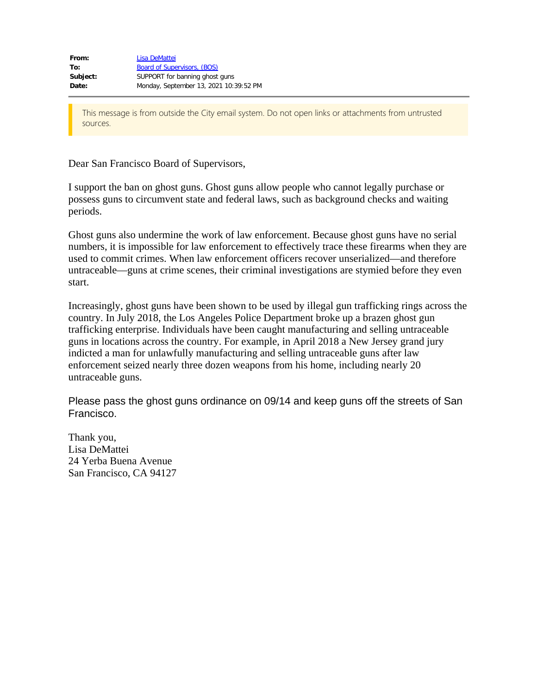Dear San Francisco Board of Supervisors,

I support the ban on ghost guns. Ghost guns allow people who cannot legally purchase or possess guns to circumvent state and federal laws, such as background checks and waiting periods.

Ghost guns also undermine the work of law enforcement. Because ghost guns have no serial numbers, it is impossible for law enforcement to effectively trace these firearms when they are used to commit crimes. When law enforcement officers recover unserialized—and therefore untraceable—guns at crime scenes, their criminal investigations are stymied before they even start.

Increasingly, ghost guns have been shown to be used by illegal gun trafficking rings across the country. In July 2018, the Los Angeles Police Department broke up a brazen ghost gun trafficking enterprise. Individuals have been caught manufacturing and selling untraceable guns in locations across the country. For example, in April 2018 a New Jersey grand jury indicted a man for unlawfully manufacturing and selling untraceable guns after law enforcement seized nearly three dozen weapons from his home, including nearly 20 untraceable guns.

Please pass the ghost guns ordinance on 09/14 and keep guns off the streets of San Francisco.

Thank you, Lisa DeMattei 24 Yerba Buena Avenue San Francisco, CA 94127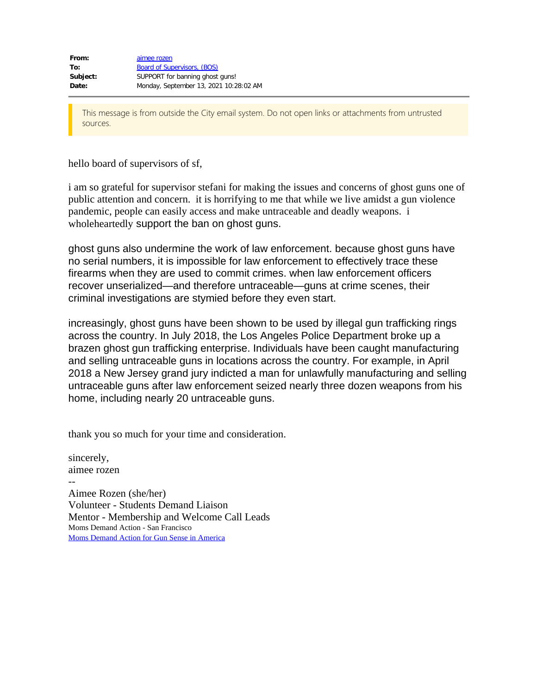hello board of supervisors of sf,

i am so grateful for supervisor stefani for making the issues and concerns of ghost guns one of public attention and concern. it is horrifying to me that while we live amidst a gun violence pandemic, people can easily access and make untraceable and deadly weapons. i wholeheartedly support the ban on ghost guns.

ghost guns also undermine the work of law enforcement. because ghost guns have no serial numbers, it is impossible for law enforcement to effectively trace these firearms when they are used to commit crimes. when law enforcement officers recover unserialized—and therefore untraceable—guns at crime scenes, their criminal investigations are stymied before they even start.

increasingly, ghost guns have been shown to be used by illegal gun trafficking rings across the country. In July 2018, the Los Angeles Police Department broke up a brazen ghost gun trafficking enterprise. Individuals have been caught manufacturing and selling untraceable guns in locations across the country. For example, in April 2018 a New Jersey grand jury indicted a man for unlawfully manufacturing and selling untraceable guns after law enforcement seized nearly three dozen weapons from his home, including nearly 20 untraceable guns.

thank you so much for your time and consideration.

sincerely, aimee rozen -- Aimee Rozen (she/her) Volunteer - Students Demand Liaison Mentor - Membership and Welcome Call Leads Moms Demand Action - San Francisco Moms Demand Action for Gun Sense in [America](https://avanan.url-protection.com/v1/url?o=https%3A//momsdemandaction.org/&g=ZTcxOGM3NjNiNWZmZTM4NQ==&h=YTgyYTdlOTFmZjhiZTA0NGVhNzZkMDBkYTNhZThkNDNhMjkzNDllMmE0MGFjMDI0ZGVkMDllMDdiMGYyYTY4Ng==&p=YXAzOnNmZHQyOmF2YW5hbjpvOjlmM2QzNjJhN2Y2ZTEzMzdkNWQyMTk3ODJjNzQ2NWE3OnYx)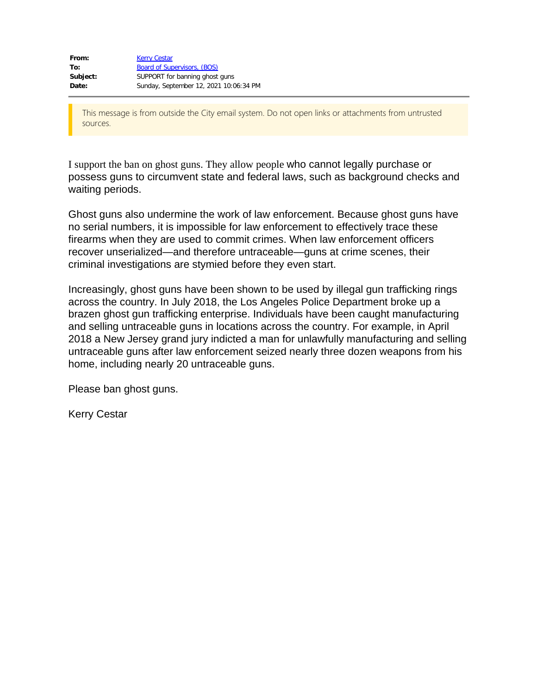| From:    | <b>Kerry Cestar</b>                    |
|----------|----------------------------------------|
| To:      | Board of Supervisors, (BOS)            |
| Subject: | SUPPORT for banning ghost guns         |
| Date:    | Sunday, September 12, 2021 10:06:34 PM |

I support the ban on ghost guns. They allow people who cannot legally purchase or possess guns to circumvent state and federal laws, such as background checks and waiting periods.

Ghost guns also undermine the work of law enforcement. Because ghost guns have no serial numbers, it is impossible for law enforcement to effectively trace these firearms when they are used to commit crimes. When law enforcement officers recover unserialized—and therefore untraceable—guns at crime scenes, their criminal investigations are stymied before they even start.

Increasingly, ghost guns have been shown to be used by illegal gun trafficking rings across the country. In July 2018, the Los Angeles Police Department broke up a brazen ghost gun trafficking enterprise. Individuals have been caught manufacturing and selling untraceable guns in locations across the country. For example, in April 2018 a New Jersey grand jury indicted a man for unlawfully manufacturing and selling untraceable guns after law enforcement seized nearly three dozen weapons from his home, including nearly 20 untraceable guns.

Please ban ghost guns.

Kerry Cestar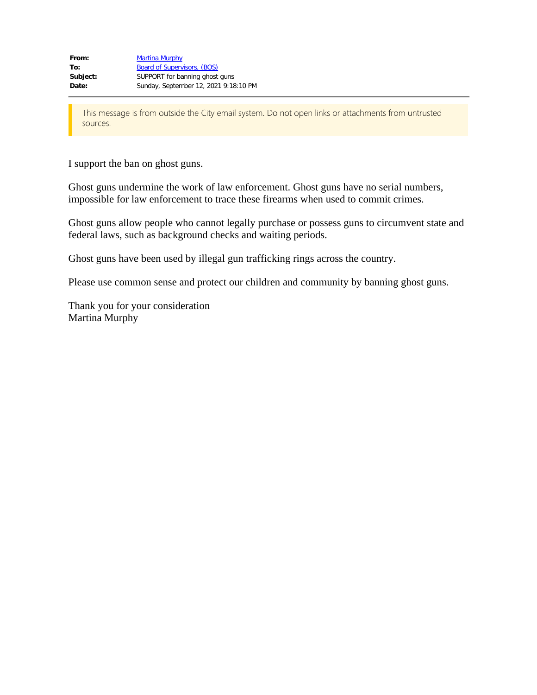I support the ban on ghost guns.

Ghost guns undermine the work of law enforcement. Ghost guns have no serial numbers, impossible for law enforcement to trace these firearms when used to commit crimes.

Ghost guns allow people who cannot legally purchase or possess guns to circumvent state and federal laws, such as background checks and waiting periods.

Ghost guns have been used by illegal gun trafficking rings across the country.

Please use common sense and protect our children and community by banning ghost guns.

Thank you for your consideration Martina Murphy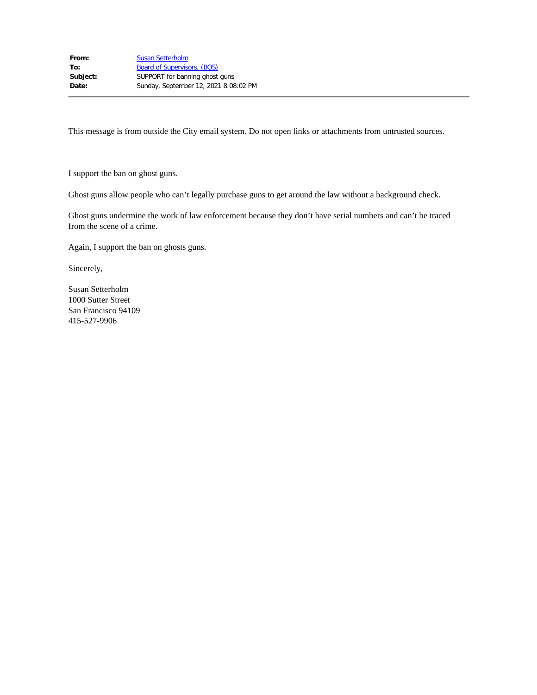I support the ban on ghost guns.

Ghost guns allow people who can't legally purchase guns to get around the law without a background check.

Ghost guns undermine the work of law enforcement because they don't have serial numbers and can't be traced from the scene of a crime.

Again, I support the ban on ghosts guns.

Sincerely,

Susan Setterholm 1000 Sutter Street San Francisco 94109 415-527-9906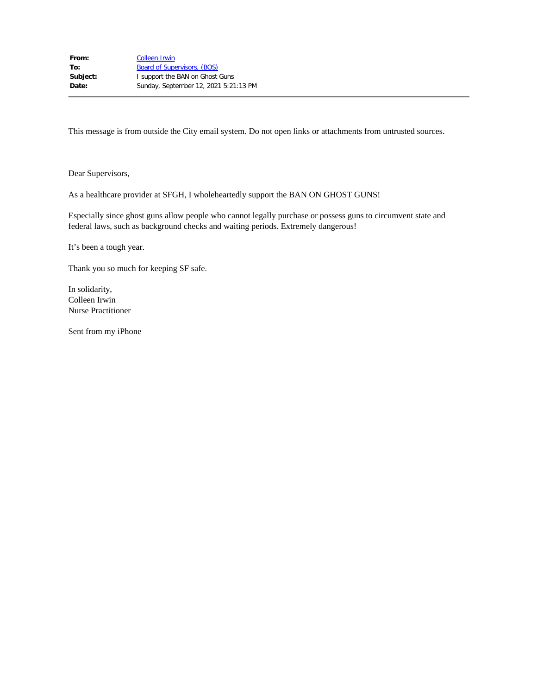Dear Supervisors,

As a healthcare provider at SFGH, I wholeheartedly support the BAN ON GHOST GUNS!

Especially since ghost guns allow people who cannot legally purchase or possess guns to circumvent state and federal laws, such as background checks and waiting periods. Extremely dangerous!

It's been a tough year.

Thank you so much for keeping SF safe.

In solidarity, Colleen Irwin Nurse Practitioner

Sent from my iPhone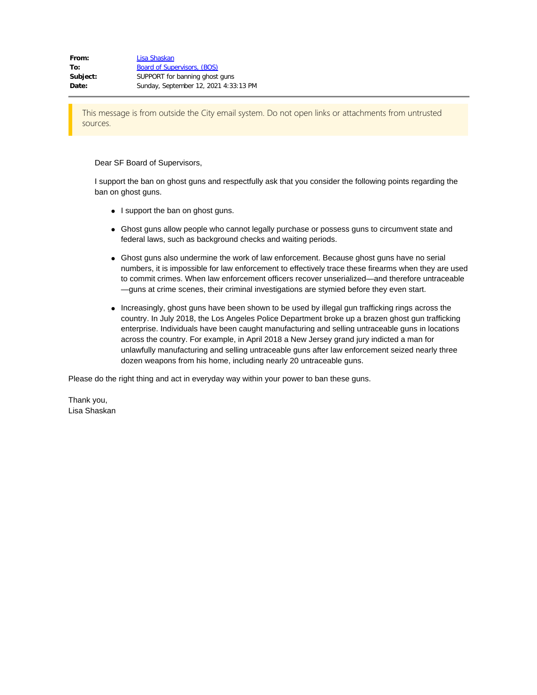Dear SF Board of Supervisors,

I support the ban on ghost guns and respectfully ask that you consider the following points regarding the ban on ghost guns.

- I support the ban on ghost guns.
- Ghost guns allow people who cannot legally purchase or possess guns to circumvent state and federal laws, such as background checks and waiting periods.
- Ghost guns also undermine the work of law enforcement. Because ghost guns have no serial numbers, it is impossible for law enforcement to effectively trace these firearms when they are used to commit crimes. When law enforcement officers recover unserialized—and therefore untraceable —guns at crime scenes, their criminal investigations are stymied before they even start.
- Increasingly, ghost guns have been shown to be used by illegal gun trafficking rings across the country. In July 2018, the Los Angeles Police Department broke up a brazen ghost gun trafficking enterprise. Individuals have been caught manufacturing and selling untraceable guns in locations across the country. For example, in April 2018 a New Jersey grand jury indicted a man for unlawfully manufacturing and selling untraceable guns after law enforcement seized nearly three dozen weapons from his home, including nearly 20 untraceable guns.

Please do the right thing and act in everyday way within your power to ban these guns.

Thank you, Lisa Shaskan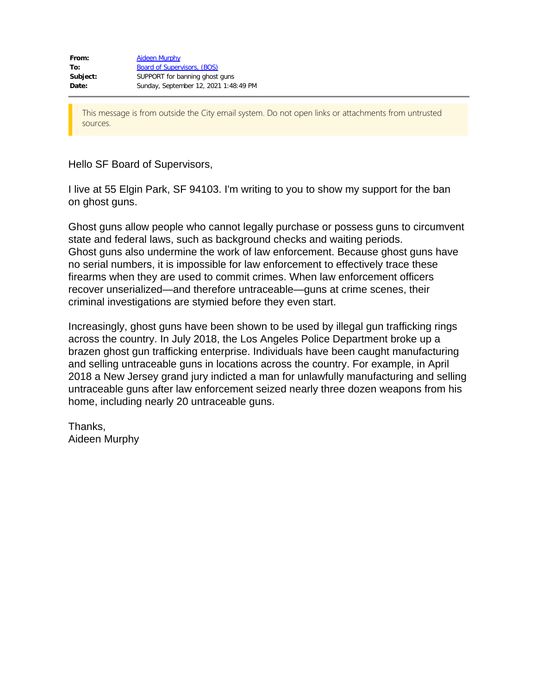Hello SF Board of Supervisors,

I live at 55 Elgin Park, SF 94103. I'm writing to you to show my support for the ban on ghost guns.

Ghost guns allow people who cannot legally purchase or possess guns to circumvent state and federal laws, such as background checks and waiting periods. Ghost guns also undermine the work of law enforcement. Because ghost guns have no serial numbers, it is impossible for law enforcement to effectively trace these firearms when they are used to commit crimes. When law enforcement officers recover unserialized—and therefore untraceable—guns at crime scenes, their criminal investigations are stymied before they even start.

Increasingly, ghost guns have been shown to be used by illegal gun trafficking rings across the country. In July 2018, the Los Angeles Police Department broke up a brazen ghost gun trafficking enterprise. Individuals have been caught manufacturing and selling untraceable guns in locations across the country. For example, in April 2018 a New Jersey grand jury indicted a man for unlawfully manufacturing and selling untraceable guns after law enforcement seized nearly three dozen weapons from his home, including nearly 20 untraceable guns.

Thanks, Aideen Murphy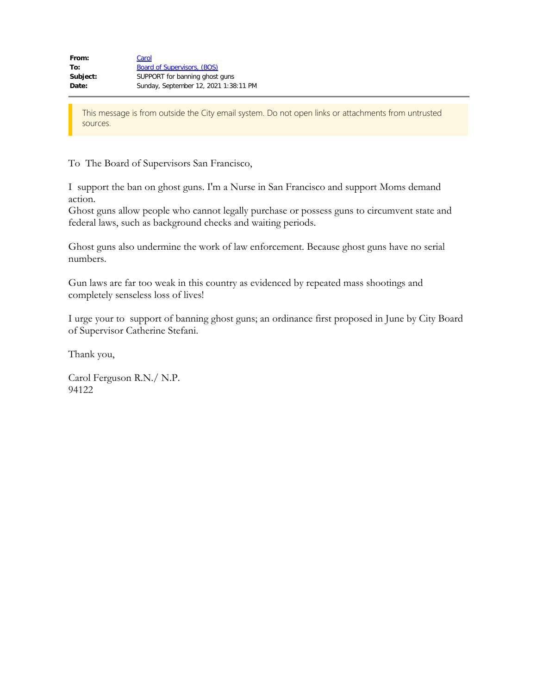To The Board of Supervisors San Francisco,

I support the ban on ghost guns. I'm a Nurse in San Francisco and support Moms demand action.

Ghost guns allow people who cannot legally purchase or possess guns to circumvent state and federal laws, such as background checks and waiting periods.

Ghost guns also undermine the work of law enforcement. Because ghost guns have no serial numbers.

Gun laws are far too weak in this country as evidenced by repeated mass shootings and completely senseless loss of lives!

I urge your to support of banning ghost guns; an ordinance first proposed in June by City Board of Supervisor Catherine Stefani.

Thank you,

Carol Ferguson R.N./ N.P. 94122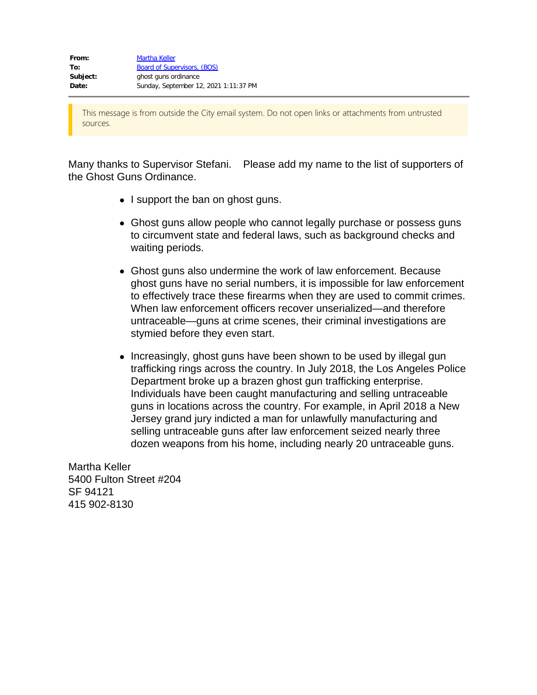Many thanks to Supervisor Stefani. Please add my name to the list of supporters of the Ghost Guns Ordinance.

- I support the ban on ghost guns.
- Ghost guns allow people who cannot legally purchase or possess guns to circumvent state and federal laws, such as background checks and waiting periods.
- Ghost guns also undermine the work of law enforcement. Because ghost guns have no serial numbers, it is impossible for law enforcement to effectively trace these firearms when they are used to commit crimes. When law enforcement officers recover unserialized—and therefore untraceable—guns at crime scenes, their criminal investigations are stymied before they even start.
- Increasingly, ghost guns have been shown to be used by illegal gun trafficking rings across the country. In July 2018, the Los Angeles Police Department broke up a brazen ghost gun trafficking enterprise. Individuals have been caught manufacturing and selling untraceable guns in locations across the country. For example, in April 2018 a New Jersey grand jury indicted a man for unlawfully manufacturing and selling untraceable guns after law enforcement seized nearly three dozen weapons from his home, including nearly 20 untraceable guns.

Martha Keller 5400 Fulton Street #204 SF 94121 415 902-8130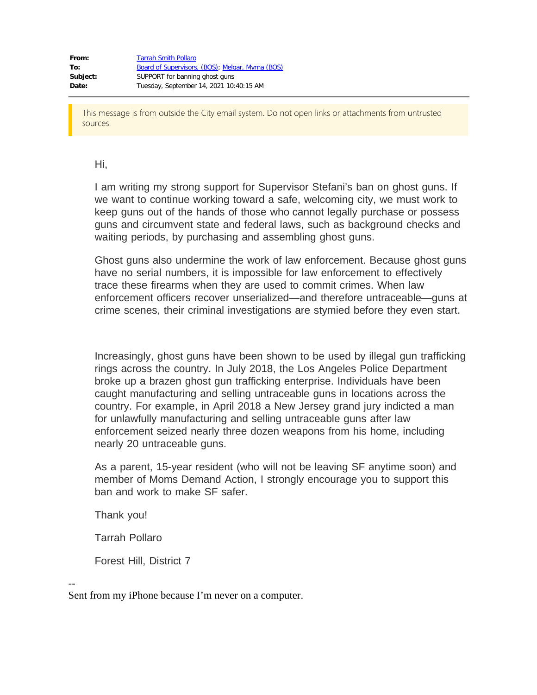## Hi,

I am writing my strong support for Supervisor Stefani's ban on ghost guns. If we want to continue working toward a safe, welcoming city, we must work to keep guns out of the hands of those who cannot legally purchase or possess guns and circumvent state and federal laws, such as background checks and waiting periods, by purchasing and assembling ghost guns.

Ghost guns also undermine the work of law enforcement. Because ghost guns have no serial numbers, it is impossible for law enforcement to effectively trace these firearms when they are used to commit crimes. When law enforcement officers recover unserialized—and therefore untraceable—guns at crime scenes, their criminal investigations are stymied before they even start.

Increasingly, ghost guns have been shown to be used by illegal gun trafficking rings across the country. In July 2018, the Los Angeles Police Department broke up a brazen ghost gun trafficking enterprise. Individuals have been caught manufacturing and selling untraceable guns in locations across the country. For example, in April 2018 a New Jersey grand jury indicted a man for unlawfully manufacturing and selling untraceable guns after law enforcement seized nearly three dozen weapons from his home, including nearly 20 untraceable guns.

As a parent, 15-year resident (who will not be leaving SF anytime soon) and member of Moms Demand Action, I strongly encourage you to support this ban and work to make SF safer.

Thank you!

Tarrah Pollaro

Forest Hill, District 7

--

Sent from my iPhone because I'm never on a computer.